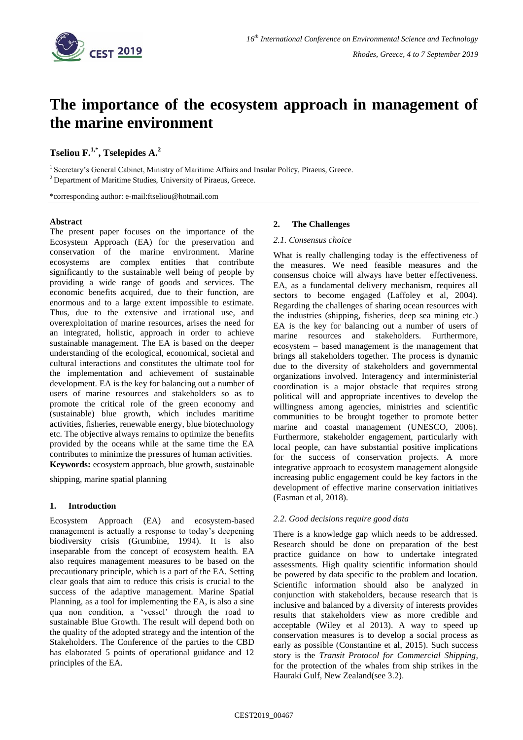

# **The importance of the ecosystem approach in management of the marine environment**

**Tseliou F. 1,\* , Tselepides A. 2**

<sup>1</sup> Secretary's General Cabinet, Ministry of Maritime Affairs and Insular Policy, Piraeus, Greece. <sup>2</sup> Department of Maritime Studies, University of Piraeus, Greece.

\*corresponding author: e-mail:ftseliou@hotmail.com

# **Abstract**

The present paper focuses on the importance of the Ecosystem Approach (EA) for the preservation and conservation of the marine environment. Marine ecosystems are complex entities that contribute significantly to the sustainable well being of people by providing a wide range of goods and services. The economic benefits acquired, due to their function, are enormous and to a large extent impossible to estimate. Thus, due to the extensive and irrational use, and overexploitation of marine resources, arises the need for an integrated, holistic, approach in order to achieve sustainable management. The EA is based on the deeper understanding of the ecological, economical, societal and cultural interactions and constitutes the ultimate tool for the implementation and achievement of sustainable development. EA is the key for balancing out a number of users of marine resources and stakeholders so as to promote the critical role of the green economy and (sustainable) blue growth, which includes maritime activities, fisheries, renewable energy, blue biotechnology etc. The objective always remains to optimize the benefits provided by the oceans while at the same time the EA contributes to minimize the pressures of human activities. **Keywords:** ecosystem approach, blue growth, sustainable

shipping, marine spatial planning

# **1. Introduction**

Ecosystem Approach (EA) and ecosystem-based management is actually a response to today's deepening biodiversity crisis (Grumbine, 1994). It is also inseparable from the concept of ecosystem health. EA also requires management measures to be based on the precautionary principle, which is a part of the EA. Setting clear goals that aim to reduce this crisis is crucial to the success of the adaptive management. Marine Spatial Planning, as a tool for implementing the EA, is also a sine qua non condition, a 'vessel' through the road to sustainable Blue Growth. The result will depend both on the quality of the adopted strategy and the intention of the Stakeholders. The Conference of the parties to the CBD has elaborated 5 points of operational guidance and 12 principles of the EA.

## **2. The Challenges**

#### *2.1. Consensus choice*

What is really challenging today is the effectiveness of the measures. We need feasible measures and the consensus choice will always have better effectiveness. EA, as a fundamental delivery mechanism, requires all sectors to become engaged (Laffoley et al, 2004). Regarding the challenges of sharing ocean resources with the industries (shipping, fisheries, deep sea mining etc.) EA is the key for balancing out a number of users of marine resources and stakeholders. Furthermore, ecosystem – based management is the management that brings all stakeholders together. The process is dynamic due to the diversity of stakeholders and governmental organizations involved. Interagency and interministerial coordination is a major obstacle that requires strong political will and appropriate incentives to develop the willingness among agencies, ministries and scientific communities to be brought together to promote better marine and coastal management (UNESCO, 2006). Furthermore, stakeholder engagement, particularly with local people, can have substantial positive implications for the success of conservation projects. A more integrative approach to ecosystem management alongside increasing public engagement could be key factors in the development of effective marine conservation initiatives (Easman et al, 2018).

# *2.2. Good decisions require good data*

There is a knowledge gap which needs to be addressed. Research should be done on preparation of the best practice guidance on how to undertake integrated assessments. High quality scientific information should be powered by data specific to the problem and location. Scientific information should also be analyzed in conjunction with stakeholders, because research that is inclusive and balanced by a diversity of interests provides results that stakeholders view as more credible and acceptable (Wiley et al 2013). A way to speed up conservation measures is to develop a social process as early as possible (Constantine et al, 2015). Such success story is the *Transit Protocol for Commercial Shipping*, for the protection of the whales from ship strikes in the Hauraki Gulf, New Zealand(see 3.2).